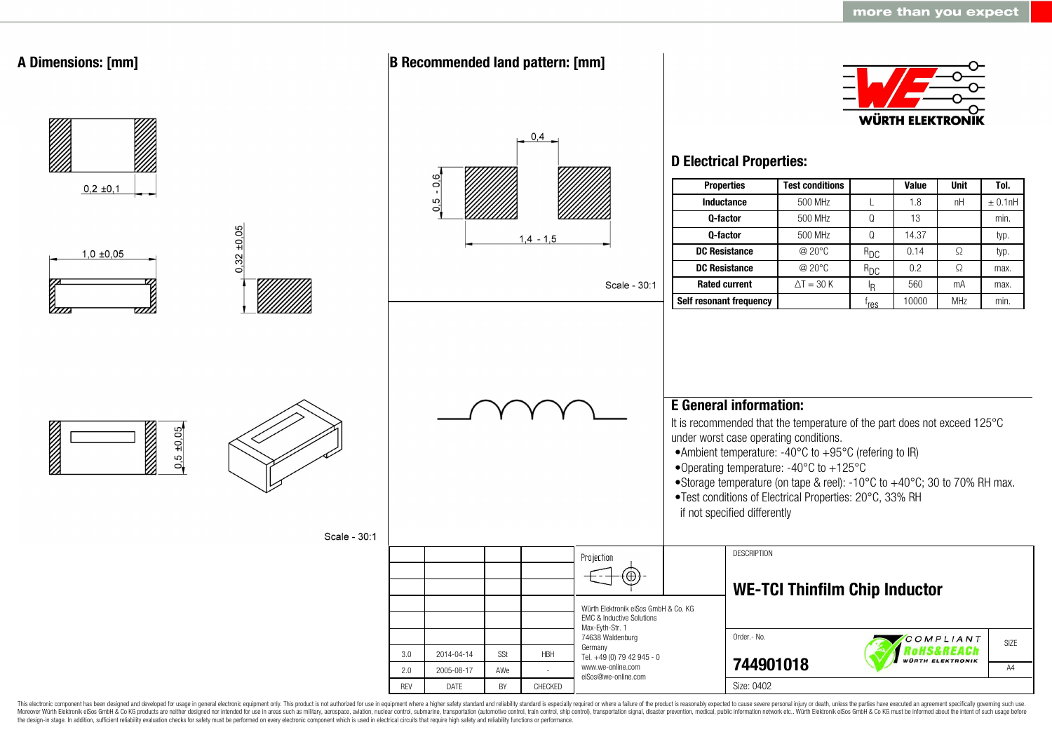

This electronic component has been designed and developed for usage in general electronic equipment only. This product is not authorized for use in equipment where a higher safety standard and reliability standard is espec Moreover Würth Elektronik eiSos GmbH & Co KG products are neither designed nor intended for use in areas such as military, aerospace, aviation, nuclear control, submarine, transportation (automotive control, ship control), the design-in stage. In addition, sufficient reliability evaluation checks for safety must be performed on every electronic component which is used in electrical circuits that require high safety and reliability functions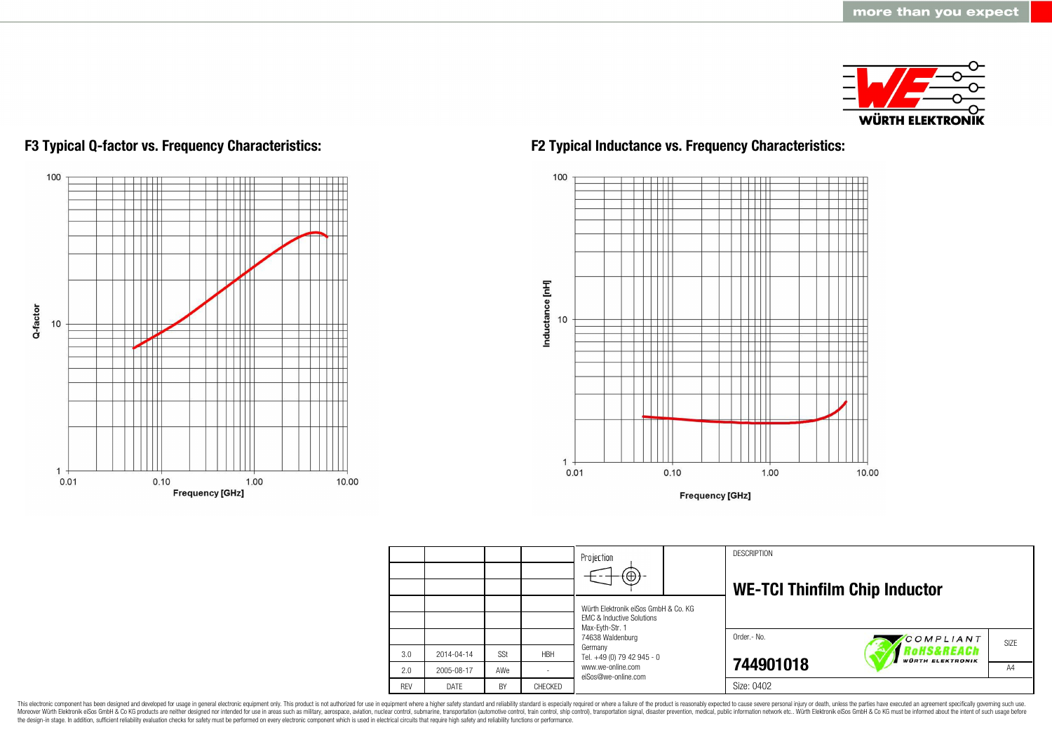



## **F3 Typical Q-factor vs. Frequency Characteristics: F2 Typical Inductance vs. Frequency Characteristics:**



**Frequency [GHz]** 

|            |            |           |            | Projection<br>$\textcircled{\scriptsize{+}}$                                                    |  | <b>DESCRIPTION</b>                   |                                       |                |
|------------|------------|-----------|------------|-------------------------------------------------------------------------------------------------|--|--------------------------------------|---------------------------------------|----------------|
|            |            |           |            | Würth Elektronik eiSos GmbH & Co. KG<br><b>EMC &amp; Inductive Solutions</b><br>Max-Eyth-Str. 1 |  | <b>WE-TCI Thinfilm Chip Inductor</b> |                                       |                |
|            |            |           |            | 74638 Waldenburg                                                                                |  | Order.- No.                          | COMPLIANT                             | SIZE           |
| 3.0        | 2014-04-14 | SSt       | <b>HBH</b> | Germany<br>Tel. +49 (0) 79 42 945 - 0                                                           |  |                                      | Rohs&REACh<br><b>WÜRTH ELEKTRONIK</b> |                |
| 2.0        | 2005-08-17 | AWe       |            | www.we-online.com<br>eiSos@we-online.com                                                        |  | 744901018                            |                                       | A <sub>4</sub> |
| <b>RFV</b> | DATF       | <b>BY</b> | CHECKED    |                                                                                                 |  | Size: 0402                           |                                       |                |

This electronic component has been designed and developed for usage in general electronic equipment only. This product is not authorized for use in equipment where a higher safety standard and reliability standard is espec Moreover Würth Elektronik eiSos GmbH & Co KG products are neither designed nor intended for use in areas such as military, aerospace, aviation, nuclear control, submarine, transportation (automotive control), stain control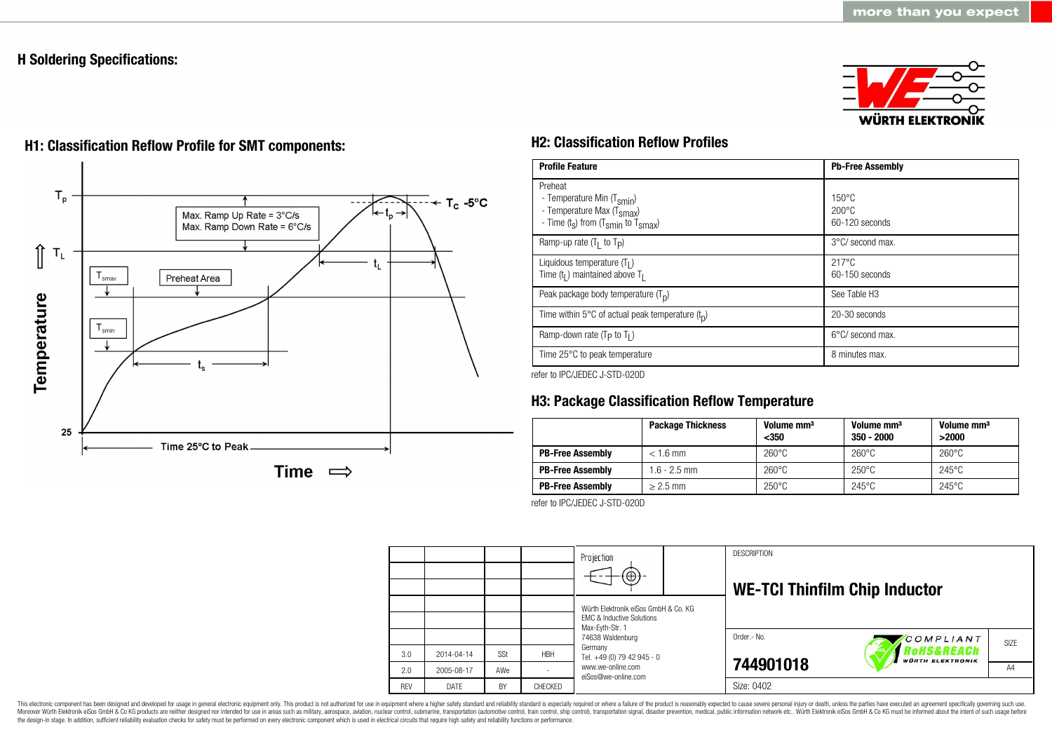## **H Soldering Specifications:**





# **H1: Classification Reflow Profile for SMT components: H2: Classification Reflow Profiles**

| <b>Profile Feature</b>                                                                                                                        | <b>Pb-Free Assembly</b>                             |  |  |
|-----------------------------------------------------------------------------------------------------------------------------------------------|-----------------------------------------------------|--|--|
| Preheat<br>- Temperature Min (T <sub>smin</sub> )<br>- Temperature Max (T <sub>Smax</sub> )<br>- Time $(t_s)$ from $(T_{smin}$ to $T_{smax})$ | $150^{\circ}$ C<br>$200\degree$ C<br>60-120 seconds |  |  |
| Ramp-up rate $(T_1$ to $T_p$ )                                                                                                                | 3°C/ second max.                                    |  |  |
| Liquidous temperature $(T1)$<br>Time $(t_1)$ maintained above $T_1$                                                                           | $217^{\circ}$ C<br>60-150 seconds                   |  |  |
| Peak package body temperature $(T_p)$                                                                                                         | See Table H <sub>3</sub>                            |  |  |
| Time within 5°C of actual peak temperature $(t_n)$                                                                                            | 20-30 seconds                                       |  |  |
| Ramp-down rate ( $T_P$ to $T_I$ )                                                                                                             | 6°C/ second max.                                    |  |  |
| Time 25°C to peak temperature                                                                                                                 | 8 minutes max.                                      |  |  |

refer to IPC/JEDEC J-STD-020D

## **H3: Package Classification Reflow Temperature**

|                         | <b>Package Thickness</b> | Volume mm <sup>3</sup><br>$350$ | Volume mm <sup>3</sup><br>$350 - 2000$ | Volume mm <sup>3</sup><br>>2000 |
|-------------------------|--------------------------|---------------------------------|----------------------------------------|---------------------------------|
| <b>PB-Free Assembly</b> | $< 1.6$ mm               | $260^{\circ}$ C                 | $260^{\circ}$ C                        | $260^{\circ}$ C                 |
| <b>PB-Free Assembly</b> | $1.6 - 2.5$ mm           | $260^{\circ}$ C                 | $250^{\circ}$ C                        | $245^{\circ}$ C                 |
| <b>PB-Free Assembly</b> | $> 2.5$ mm               | $250^{\circ}$ C                 | $245^{\circ}$ C                        | $245^{\circ}$ C                 |

refer to IPC/JEDEC J-STD-020D



This electronic component has been designed and developed for usage in general electronic equipment only. This product is not authorized for use in equipment where a higher safety standard and reliability standard is espec Moreover Würth Elektronik eiSos GmbH & Co KG products are neither designed nor intended for use in areas such as military, aerospace, aviation, nuclear control, submarine, transportation (automotive control, ship control), the design-in stage. In addition, sufficient reliability evaluation checks for safety must be performed on every electronic component which is used in electrical circuits that require high safety and reliability functions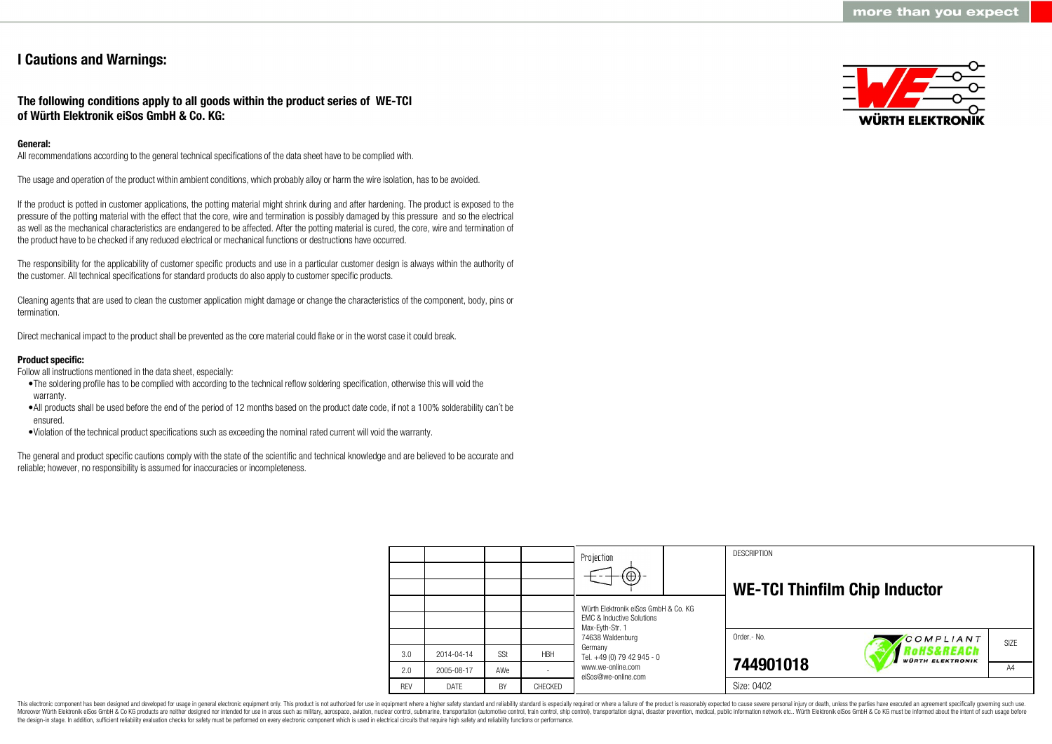## **I Cautions and Warnings:**

## **The following conditions apply to all goods within the product series of WE-TCI of Würth Elektronik eiSos GmbH & Co. KG:**

## **General:**

All recommendations according to the general technical specifications of the data sheet have to be complied with.

The usage and operation of the product within ambient conditions, which probably alloy or harm the wire isolation, has to be avoided.

If the product is potted in customer applications, the potting material might shrink during and after hardening. The product is exposed to the pressure of the potting material with the effect that the core, wire and termination is possibly damaged by this pressure and so the electrical as well as the mechanical characteristics are endangered to be affected. After the potting material is cured, the core, wire and termination of the product have to be checked if any reduced electrical or mechanical functions or destructions have occurred.

The responsibility for the applicability of customer specific products and use in a particular customer design is always within the authority of the customer. All technical specifications for standard products do also apply to customer specific products.

Cleaning agents that are used to clean the customer application might damage or change the characteristics of the component, body, pins or termination.

Direct mechanical impact to the product shall be prevented as the core material could flake or in the worst case it could break.

## **Product specific:**

Follow all instructions mentioned in the data sheet, especially:

- •The soldering profile has to be complied with according to the technical reflow soldering specification, otherwise this will void the warranty.
- •All products shall be used before the end of the period of 12 months based on the product date code, if not a 100% solderability can´t be ensured.
- •Violation of the technical product specifications such as exceeding the nominal rated current will void the warranty.

The general and product specific cautions comply with the state of the scientific and technical knowledge and are believed to be accurate and reliable; however, no responsibility is assumed for inaccuracies or incompleteness.



|            |            |            |            | Projection<br>$\Theta$                                                                          |  | <b>DESCRIPTION</b><br><b>WE-TCI Thinfilm Chip Inductor</b> |                                       |      |
|------------|------------|------------|------------|-------------------------------------------------------------------------------------------------|--|------------------------------------------------------------|---------------------------------------|------|
|            |            |            |            | Würth Elektronik eiSos GmbH & Co. KG<br><b>FMC &amp; Inductive Solutions</b><br>Max-Eyth-Str. 1 |  |                                                            |                                       |      |
|            |            |            |            | 74638 Waldenburg                                                                                |  | Order.- No.                                                | COMPLIANT                             | SIZE |
| 3.0        | 2014-04-14 | <b>SSt</b> | <b>HBH</b> | Germany<br>Tel. +49 (0) 79 42 945 - 0                                                           |  |                                                            | RoHS&REACh<br><b>WÜRTH ELEKTRONIK</b> |      |
| 2.0        | 2005-08-17 | AWe        |            | www.we-online.com<br>eiSos@we-online.com                                                        |  | 744901018                                                  |                                       | A4   |
| <b>REV</b> | DATE       | BY         | CHECKED    |                                                                                                 |  | Size: 0402                                                 |                                       |      |

This electronic component has been designed and developed for usage in general electronic equipment only. This product is not authorized for use in equipment where a higher safety standard and reliability standard is espec Moreover Würth Elektronik eiSos GmbH & Co KG products are neither designed nor intended for use in areas such as military, aerospace, aviation, nuclear control, submarine, transportation (automotive control), tain control) the design-in stage. In addition, sufficient reliability evaluation checks for safety must be performed on every electronic component which is used in electrical circuits that require high safety and reliability functions